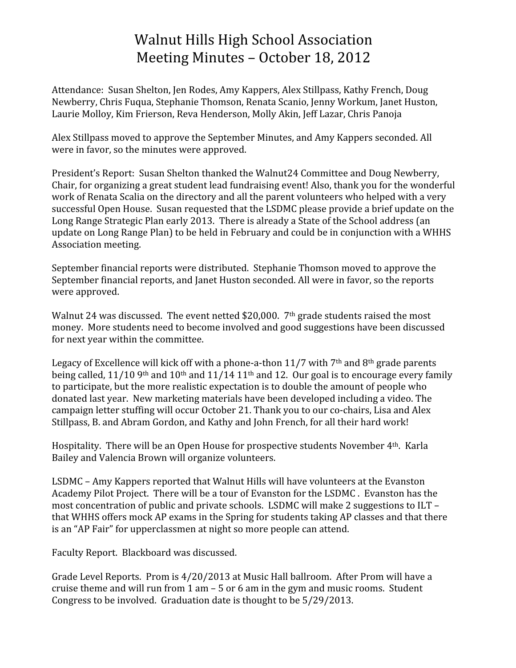## Walnut
Hills
High
School
Association Meeting
Minutes
–
October
18,
2012

Attendance:

Susan
Shelton,
Jen
Rodes,
Amy
Kappers,
Alex
Stillpass,
Kathy
French,
Doug Newberry,
Chris
Fuqua,
Stephanie
Thomson,
Renata
Scanio,
Jenny
Workum,
Janet
Huston, Laurie Molloy, Kim Frierson, Reva Henderson, Molly Akin, Jeff Lazar, Chris Panoja

Alex
Stillpass
moved
to
approve
the
September
Minutes,
and
Amy
Kappers
seconded.
All were
in
favor,
so
the
minutes
were
approved.

President's Report: Susan Shelton thanked the Walnut24 Committee and Doug Newberry, Chair,
for
organizing
a
great
student
lead
fundraising
event!
Also,
thank
you
for
the
wonderful work of Renata Scalia on the directory and all the parent volunteers who helped with a very successful Open House. Susan requested that the LSDMC please provide a brief update on the Long
Range
Strategic
Plan
early
2013.

There
is
already
a
State
of
the
School
address
(an update on Long Range Plan) to be held in February and could be in conjunction with a WHHS Association
meeting.

September
financial
reports
were
distributed.

Stephanie
Thomson
moved
to
approve
the September financial reports, and Janet Huston seconded. All were in favor, so the reports were
approved.

Walnut 24 was discussed. The event netted \$20,000. 7<sup>th</sup> grade students raised the most money.

More
students
need
to
become
involved
and
good
suggestions
have
been
discussed for
next
year
within
the
committee.

Legacy of Excellence will kick off with a phone-a-thon 11/7 with 7<sup>th</sup> and 8<sup>th</sup> grade parents being called,  $11/10$  9<sup>th</sup> and  $10$ <sup>th</sup> and  $11/14$  11<sup>th</sup> and 12. Our goal is to encourage every family to participate, but the more realistic expectation is to double the amount of people who donated
last
year.

New
marketing
materials
have
been
developed
including
a
video.
The campaign
letter
stuffing
will
occur
October
21.
Thank
you
to
our
co‐chairs,
Lisa
and
Alex Stillpass, B. and Abram Gordon, and Kathy and John French, for all their hard work!

Hospitality. There will be an Open House for prospective students November 4<sup>th</sup>. Karla Bailey
and
Valencia
Brown
will
organize
volunteers.

LSDMC
–
Amy
Kappers
reported
that
Walnut
Hills
will
have
volunteers
at
the
Evanston Academy
Pilot
Project.

There
will
be
a
tour
of
Evanston
for
the
LSDMC
.

Evanston
has
the most
concentration
of
public
and
private
schools.

LSDMC
will
make
2
suggestions
to
ILT
– that
WHHS
offers
mock
AP
exams
in
the
Spring
for
students
taking
AP
classes
and
that
there is
an
"AP
Fair"
for
upperclassmen
at
night
so
more
people
can
attend.

Faculty
Report.

Blackboard
was
discussed.

Grade Level Reports. Prom is 4/20/2013 at Music Hall ballroom. After Prom will have a cruise theme and will run from  $1$  am  $-5$  or  $6$  am in the gym and music rooms. Student Congress to be involved. Graduation date is thought to be  $5/29/2013$ .